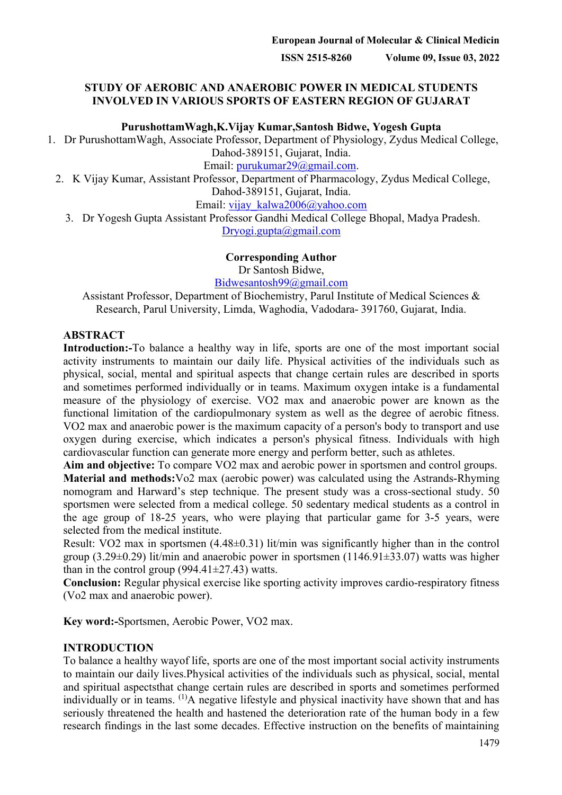### **STUDY OF AEROBIC AND ANAEROBIC POWER IN MEDICAL STUDENTS INVOLVED IN VARIOUS SPORTS OF EASTERN REGION OF GUJARAT**

**PurushottamWagh,K.Vijay Kumar,Santosh Bidwe, Yogesh Gupta**

1. Dr PurushottamWagh, Associate Professor, Department of Physiology, Zydus Medical College, Dahod-389151, Gujarat, India.

Email: [purukumar29@gmail.com.](mailto:purukumar29@gmail.com)

2. K Vijay Kumar, Assistant Professor, Department of Pharmacology, Zydus Medical College, Dahod-389151, Gujarat, India.

Email: [vijay\\_kalwa2006@yahoo.com](mailto:vijay_kalwa2006@yahoo.com)

3. Dr Yogesh Gupta Assistant Professor Gandhi Medical College Bhopal, Madya Pradesh.

[Dryogi.gupta@gmail.com](mailto:Dryogi.gupta@gmail.com)

### **Corresponding Author**

Dr Santosh Bidwe,

[Bidwesantosh99@gmail.com](mailto:Bidwesantosh99@gmail.com)

Assistant Professor, Department of Biochemistry, Parul Institute of Medical Sciences & Research, Parul University, Limda, Waghodia, Vadodara- 391760, Gujarat, India.

### **ABSTRACT**

**Introduction:-**To balance a healthy way in life, sports are one of the most important social activity instruments to maintain our daily life. Physical activities of the individuals such as physical, social, mental and spiritual aspects that change certain rules are described in sports and sometimes performed individually or in teams. Maximum oxygen intake is a fundamental measure of the physiology of exercise. VO2 max and anaerobic power are known as the functional limitation of the cardiopulmonary system as well as the degree of aerobic fitness. VO2 max and anaerobic power is the maximum capacity of a person's body to transport and use oxygen during exercise, which indicates a person's physical fitness. Individuals with high cardiovascular function can generate more energy and perform better, such as athletes.

**Aim and objective:** To compare VO2 max and aerobic power in sportsmen and control groups.

**Material and methods:**Vo2 max (aerobic power) was calculated using the Astrands-Rhyming nomogram and Harward's step technique. The present study was a cross-sectional study. 50 sportsmen were selected from a medical college. 50 sedentary medical students as a control in the age group of 18-25 years, who were playing that particular game for 3-5 years, were selected from the medical institute.

Result: VO2 max in sportsmen (4.48±0.31) lit/min was significantly higher than in the control group  $(3.29\pm0.29)$  lit/min and anaerobic power in sportsmen  $(1146.91\pm33.07)$  watts was higher than in the control group  $(994.41 \pm 27.43)$  watts.

**Conclusion:** Regular physical exercise like sporting activity improves cardio-respiratory fitness (Vo2 max and anaerobic power).

**Key word:-**Sportsmen, Aerobic Power, VO2 max.

### **INTRODUCTION**

To balance a healthy wayof life, sports are one of the most important social activity instruments to maintain our daily lives.Physical activities of the individuals such as physical, social, mental and spiritual aspectsthat change certain rules are described in sports and sometimes performed individually or in teams. <sup>(1)</sup>A negative lifestyle and physical inactivity have shown that and has seriously threatened the health and hastened the deterioration rate of the human body in a few research findings in the last some decades. Effective instruction on the benefits of maintaining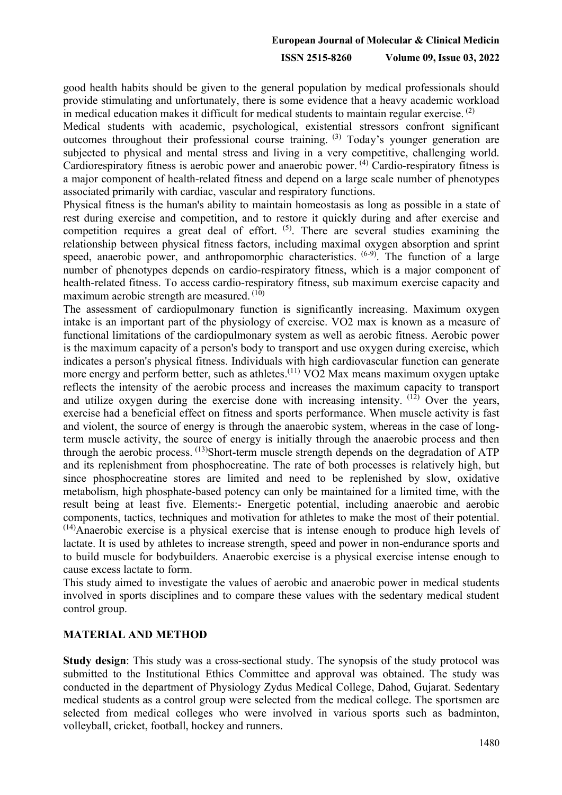good health habits should be given to the general population by medical professionals should provide stimulating and unfortunately, there is some evidence that a heavy academic workload in medical education makes it difficult for medical students to maintain regular exercise.  $(2)$ 

Medical students with academic, psychological, existential stressors confront significant outcomes throughout their professional course training. (3) Today's younger generation are subjected to physical and mental stress and living in a very competitive, challenging world. Cardiorespiratory fitness is aerobic power and anaerobic power. <sup>(4)</sup> Cardio-respiratory fitness is a major component of health-related fitness and depend on a large scale number of phenotypes associated primarily with cardiac, vascular and respiratory functions.

Physical fitness is the human's ability to maintain homeostasis as long as possible in a state of rest during exercise and competition, and to restore it quickly during and after exercise and competition requires a great deal of effort.  $(5)$ . There are several studies examining the relationship between physical fitness factors, including maximal oxygen absorption and sprint speed, anaerobic power, and anthropomorphic characteristics.  $(6-9)$ . The function of a large number of phenotypes depends on cardio-respiratory fitness, which is a major component of health-related fitness. To access cardio-respiratory fitness, sub maximum exercise capacity and maximum aerobic strength are measured.  $(10)$ 

The assessment of cardiopulmonary function is significantly increasing. Maximum oxygen intake is an important part of the physiology of exercise. VO2 max is known as a measure of functional limitations of the cardiopulmonary system as well as aerobic fitness. Aerobic power is the maximum capacity of a person's body to transport and use oxygen during exercise, which indicates a person's physical fitness. Individuals with high cardiovascular function can generate more energy and perform better, such as athletes.<sup> $(11)$ </sup> VO2 Max means maximum oxygen uptake reflects the intensity of the aerobic process and increases the maximum capacity to transport and utilize oxygen during the exercise done with increasing intensity. (12) Over the years, exercise had a beneficial effect on fitness and sports performance. When muscle activity is fast and violent, the source of energy is through the anaerobic system, whereas in the case of longterm muscle activity, the source of energy is initially through the anaerobic process and then through the aerobic process. (13)Short-term muscle strength depends on the degradation of ATP and its replenishment from phosphocreatine. The rate of both processes is relatively high, but since phosphocreatine stores are limited and need to be replenished by slow, oxidative metabolism, high phosphate-based potency can only be maintained for a limited time, with the result being at least five. Elements:- Energetic potential, including anaerobic and aerobic components, tactics, techniques and motivation for athletes to make the most of their potential.  $<sup>(14)</sup>$ Anaerobic exercise is a physical exercise that is intense enough to produce high levels of</sup> lactate. It is used by athletes to increase strength, speed and power in non-endurance sports and to build muscle for bodybuilders. Anaerobic exercise is a physical exercise intense enough to cause excess lactate to form.

This study aimed to investigate the values of aerobic and anaerobic power in medical students involved in sports disciplines and to compare these values with the sedentary medical student control group.

#### **MATERIAL AND METHOD**

**Study design**: This study was a cross-sectional study. The synopsis of the study protocol was submitted to the Institutional Ethics Committee and approval was obtained. The study was conducted in the department of Physiology Zydus Medical College, Dahod, Gujarat. Sedentary medical students as a control group were selected from the medical college. The sportsmen are selected from medical colleges who were involved in various sports such as badminton, volleyball, cricket, football, hockey and runners.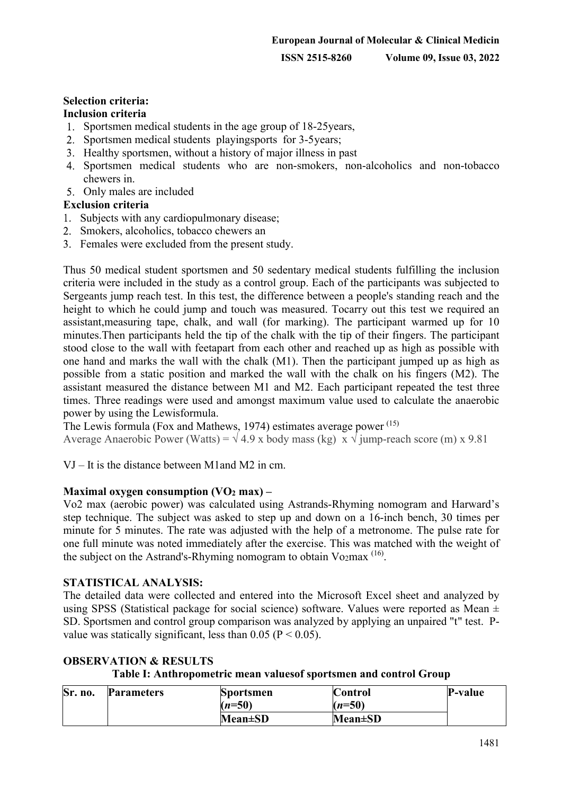## **Selection criteria:**

### **Inclusion criteria**

- 1. Sportsmen medical students in the age group of 18-25 years,
- 2. Sportsmen medical students playingsports for 3-5 years;
- 3. Healthy sportsmen, without a history of major illness in past
- Sportsmen medical students who are non-smokers, non-alcoholics and non-tobacco chewers in.
- Only males are included

### **Exclusion criteria**

- 1. Subjects with any cardiopulmonary disease;
- 2. Smokers, alcoholics, tobacco chewers an
- Females were excluded from the present study.

Thus 50 medical student sportsmen and 50 sedentary medical students fulfilling the inclusion criteria were included in the study as a control group. Each of the participants was subjected to Sergeants jump reach test. In this test, the difference between a people's standing reach and the height to which he could jump and touch was measured. Tocarry out this test we required an assistant,measuring tape, chalk, and wall (for marking). The participant warmed up for 10 minutes.Then participants held the tip of the chalk with the tip of their fingers. The participant stood close to the wall with feetapart from each other and reached up as high as possible with one hand and marks the wall with the chalk (M1). Then the participant jumped up as high as possible from a static position and marked the wall with the chalk on his fingers (M2). The assistant measured the distance between M1 and M2. Each participant repeated the test three times. Three readings were used and amongst maximum value used to calculate the anaerobic power by using the Lewisformula.

The Lewis formula (Fox and Mathews, 1974) estimates average power <sup>(15)</sup> Average Anaerobic Power (Watts) =  $\sqrt{4.9}$  x body mass (kg) x  $\sqrt{\text{jump-reach}}$  score (m) x 9.81

VJ – It is the distance between M1and M2 in cm.

#### **Maximal oxygen consumption (VO2 max) –**

Vo2 max (aerobic power) was calculated using Astrands-Rhyming nomogram and Harward's step technique. The subject was asked to step up and down on a 16-inch bench, 30 times per minute for 5 minutes. The rate was adjusted with the help of a metronome. The pulse rate for one full minute was noted immediately after the exercise. This was matched with the weight of the subject on the Astrand's-Rhyming nomogram to obtain Vo<sub>2</sub>max<sup>(16)</sup>.

#### **STATISTICAL ANALYSIS:**

The detailed data were collected and entered into the Microsoft Excel sheet and analyzed by using SPSS (Statistical package for social science) software. Values were reported as Mean  $\pm$ SD. Sportsmen and control group comparison was analyzed by applying an unpaired "t" test. Pvalue was statically significant, less than 0.05 ( $P < 0.05$ ).

| Sr. no. | <b>Parameters</b> | <b>Sportsmen</b> | <b>Control</b> | P-value |
|---------|-------------------|------------------|----------------|---------|
|         |                   | $(n=50)$         | $(n=50)$       |         |
|         |                   | $Mean \pm SD$    | $Mean \pm SD$  |         |

### **OBSERVATION & RESULTS**

**Table I: Anthropometric mean valuesof sportsmen and control Group**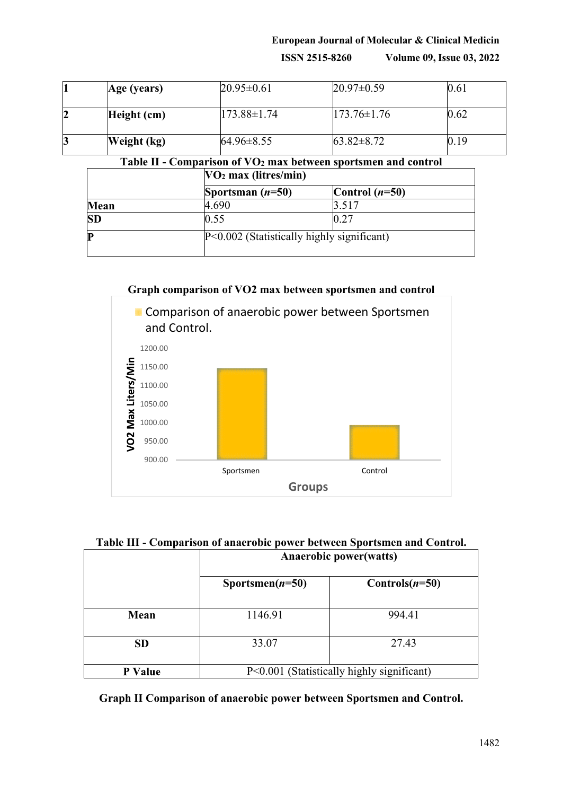## **European Journal of Molecular & Clinical Medicin ISSN 2515-8260 Volume 09, Issue 03, 2022**

| 1 | Age (years) | $20.95 \pm 0.61$ | $20.97 \pm 0.59$  | 0.61 |
|---|-------------|------------------|-------------------|------|
| 2 | Height (cm) | 173.88±1.74      | $173.76 \pm 1.76$ | 0.62 |
| 3 | Weight (kg) | $64.96 \pm 8.55$ | $63.82 \pm 8.72$  | 0.19 |

**Table II - Comparison of VO2 max between sportsmen and control**

|           | $VO2$ max (litres/min) |                                              |  |
|-----------|------------------------|----------------------------------------------|--|
|           | Sportsman $(n=50)$     | Control $(n=50)$                             |  |
| Mean      | 4.690                  | 3.517                                        |  |
| <b>SD</b> | 0.55                   | 0.27                                         |  |
| P         |                        | $P<0.002$ (Statistically highly significant) |  |

**Graph comparison of VO2 max between sportsmen and control E** Comparison of anaerobic power between Sportsmen and Control. 1200.00 VO2 Max Liters/Min 1150.00 1100.00 1050.00 1000.00 950.00 900.00 Sportsmen Control **Groups**

|  | Table III - Comparison of anaerobic power between Sportsmen and Control. |
|--|--------------------------------------------------------------------------|
|  |                                                                          |

|           | <b>Anaerobic power(watts)</b>              |                   |  |
|-----------|--------------------------------------------|-------------------|--|
|           | Sportsmen( $n=50$ )                        | Controls $(n=50)$ |  |
| Mean      | 1146.91                                    | 994.41            |  |
| <b>SD</b> | 33.07                                      | 27.43             |  |
| P Value   | P<0.001 (Statistically highly significant) |                   |  |

**Graph II Comparison of anaerobic power between Sportsmen and Control.**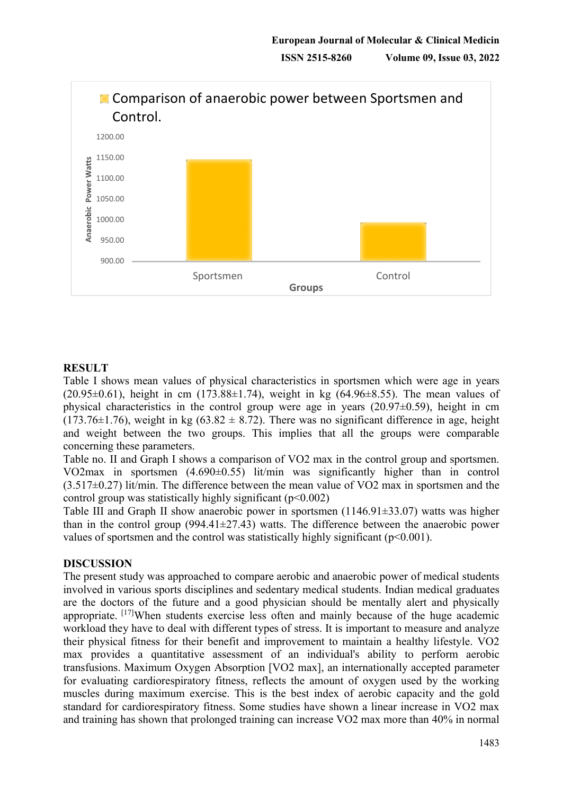

### **RESULT**

Table I shows mean values of physical characteristics in sportsmen which were age in years  $(20.95\pm0.61)$ , height in cm  $(173.88\pm1.74)$ , weight in kg  $(64.96\pm8.55)$ . The mean values of physical characteristics in the control group were age in years  $(20.97\pm0.59)$ , height in cm  $(173.76\pm1.76)$ , weight in kg  $(63.82 \pm 8.72)$ . There was no significant difference in age, height and weight between the two groups. This implies that all the groups were comparable concerning these parameters.

Table no. II and Graph I shows a comparison of VO2 max in the control group and sportsmen. VO2max in sportsmen (4.690±0.55) lit/min was significantly higher than in control  $(3.517\pm0.27)$  lit/min. The difference between the mean value of VO2 max in sportsmen and the control group was statistically highly significant  $(p<0.002)$ 

Table III and Graph II show anaerobic power in sportsmen (1146.91±33.07) watts was higher than in the control group  $(994.41 \pm 27.43)$  watts. The difference between the anaerobic power values of sportsmen and the control was statistically highly significant ( $p<0.001$ ).

### **DISCUSSION**

The present study was approached to compare aerobic and anaerobic power of medical students involved in various sports disciplines and sedentary medical students. Indian medical graduates are the doctors of the future and a good physician should be mentally alert and physically appropriate. [17]When students exercise less often and mainly because of the huge academic workload they have to deal with different types of stress. It is important to measure and analyze their physical fitness for their benefit and improvement to maintain a healthy lifestyle. VO2 max provides a quantitative assessment of an individual's ability to perform aerobic transfusions. Maximum Oxygen Absorption [VO2 max], an internationally accepted parameter for evaluating cardiorespiratory fitness, reflects the amount of oxygen used by the working muscles during maximum exercise. This is the best index of aerobic capacity and the gold standard for cardiorespiratory fitness. Some studies have shown a linear increase in VO2 max and training has shown that prolonged training can increase VO2 max more than 40% in normal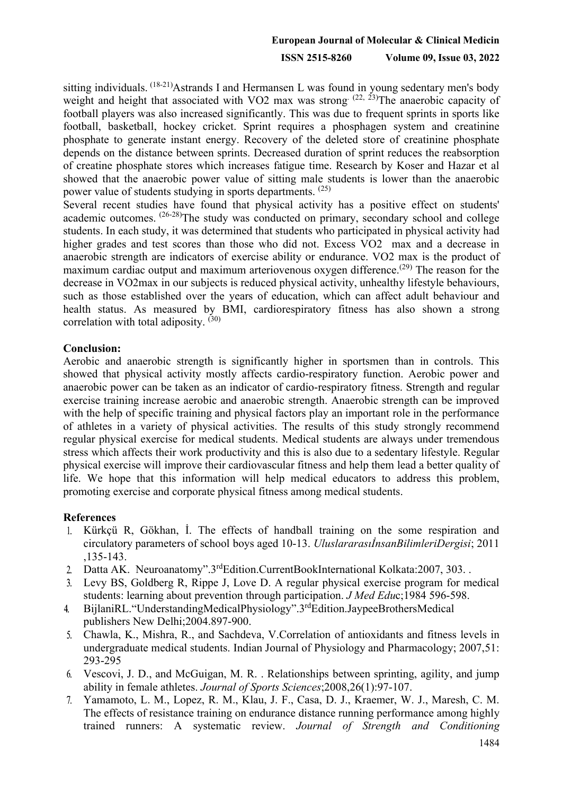# **European Journal of Molecular & Clinical Medicin ISSN 2515-8260 Volume 09, Issue 03, 2022**

sitting individuals. (18-21) Astrands I and Hermansen L was found in young sedentary men's body weight and height that associated with VO2 max was strong  $(22, 23)$ The anaerobic capacity of football players was also increased significantly. This was due to frequent sprints in sports like football, basketball, hockey cricket. Sprint requires a phosphagen system and creatinine phosphate to generate instant energy. Recovery of the deleted store of creatinine phosphate depends on the distance between sprints. Decreased duration of sprint reduces the reabsorption of creatine phosphate stores which increases fatigue time. Research by Koser and Hazar et al showed that the anaerobic power value of sitting male students is lower than the anaerobic power value of students studying in sports departments. (25)

Several recent studies have found that physical activity has a positive effect on students' academic outcomes. (26-28)The study was conducted on primary, secondary school and college students. In each study, it was determined that students who participated in physical activity had higher grades and test scores than those who did not. Excess VO2 max and a decrease in anaerobic strength are indicators of exercise ability or endurance. VO2 max is the product of maximum cardiac output and maximum arteriovenous oxygen difference.<sup>(29)</sup> The reason for the decrease in VO2max in our subjects is reduced physical activity, unhealthy lifestyle behaviours, such as those established over the years of education, which can affect adult behaviour and health status. As measured by BMI, cardiorespiratory fitness has also shown a strong correlation with total adiposity.  $(30)$ 

#### **Conclusion:**

Aerobic and anaerobic strength is significantly higher in sportsmen than in controls. This showed that physical activity mostly affects cardio-respiratory function. Aerobic power and anaerobic power can be taken as an indicator of cardio-respiratory fitness. Strength and regular exercise training increase aerobic and anaerobic strength. Anaerobic strength can be improved with the help of specific training and physical factors play an important role in the performance of athletes in a variety of physical activities. The results of this study strongly recommend regular physical exercise for medical students. Medical students are always under tremendous stress which affects their work productivity and this is also due to a sedentary lifestyle. Regular physical exercise will improve their cardiovascular fitness and help them lead a better quality of life. We hope that this information will help medical educators to address this problem, promoting exercise and corporate physical fitness among medical students.

### **References**

- Kürkçü R, Gökhan, İ. The effects of handball training on the some respiration and circulatory parameters of school boys aged 10-13. *UluslararasıİnsanBilimleriDergisi*; 2011 ,135-143.
- Datta AK. Neuroanatomy".3<sup>rd</sup>Edition.CurrentBookInternational Kolkata:2007, 303.  $2.$
- Levy BS, Goldberg R, Rippe J, Love D. A regular physical exercise program for medical  $3<sub>l</sub>$ students: learning about prevention through participation. *J Med Edu*c;1984 596-598.
- BijlaniRL."UnderstandingMedicalPhysiology".3rdEdition.JaypeeBrothersMedical  $4<sub>1</sub>$ publishers New Delhi;2004.897-900.
- Chawla, K., Mishra, R., and Sachdeva, V.Correlation of antioxidants and fitness levels in 5. undergraduate medical students. Indian Journal of Physiology and Pharmacology; 2007,51: 293-295
- Vescovi, J. D., and McGuigan, M. R. . Relationships between sprinting, agility, and jump ability in female athletes. *Journal of Sports Sciences*;2008,26(1):97-107.
- Yamamoto, L. M., Lopez, R. M., Klau, J. F., Casa, D. J., Kraemer, W. J., Maresh, C. M. 7. The effects of resistance training on endurance distance running performance among highly trained runners: A systematic review. *Journal of Strength and Conditioning*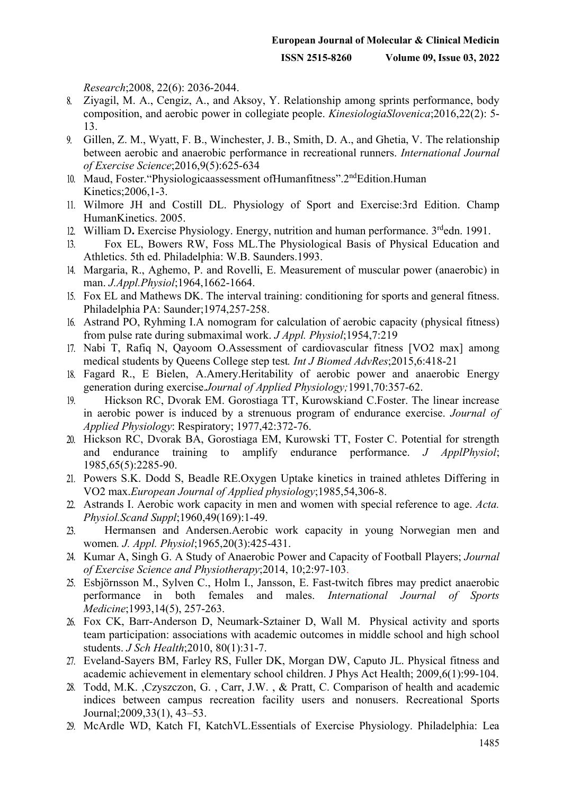*Research*;2008, 22(6): 2036-2044.

- Ziyagil, M. A., Cengiz, A., and Aksoy, Y. Relationship among sprints performance, body composition, and aerobic power in collegiate people. *KinesiologiaSlovenica*;2016,22(2): 5- 13.
- 9. Gillen, Z. M., Wyatt, F. B., Winchester, J. B., Smith, D. A., and Ghetia, V. The relationship between aerobic and anaerobic performance in recreational runners. *International Journal of Exercise Science*;2016,9(5):625-634
- 10. Maud, Foster. "Physiologicaassessment ofHumanfitness". 2<sup>nd</sup>Edition. Human Kinetics;2006,1-3.
- Wilmore JH and Costill DL. Physiology of Sport and Exercise:3rd Edition. Champ HumanKinetics. 2005.
- William D**.** Exercise Physiology. Energy, nutrition and human performance. 3rdedn. 1991.
- Fox EL, Bowers RW, Foss ML.The Physiological Basis of Physical Education and  $13.$ Athletics. 5th ed. Philadelphia: W.B. Saunders.1993.
- Margaria, R., Aghemo, P. and Rovelli, E. Measurement of muscular power (anaerobic) in man. *J.Appl.Physiol*;1964,1662-1664.
- Fox EL and Mathews DK. The interval training: conditioning for sports and general fitness. Philadelphia PA: Saunder;1974,257-258.
- Astrand PO, Ryhming I.A nomogram for calculation of aerobic capacity (physical fitness) from pulse rate during submaximal work. *J Appl. Physiol*;1954,7:219
- 17. Nabi T, Rafiq N, Qayoom O.Assessment of cardiovascular fitness [VO2 max] among medical students by Queens College step test*. Int J Biomed AdvRes*;2015,6:418-21
- Fagard R., E Bielen, A.Amery.Heritability of aerobic power and anaerobic Energy generation during exercise.*Journal of Applied Physiology;*1991,70:357-62.
- Hickson RC, Dvorak EM. Gorostiaga TT, Kurowskiand C.Foster. The linear increase  $19.$ in aerobic power is induced by a strenuous program of endurance exercise. *Journal of Applied Physiology*: Respiratory; 1977,42:372-76.
- Hickson RC, Dvorak BA, Gorostiaga EM, Kurowski TT, Foster C. Potential for strength and endurance training to amplify endurance performance. *J ApplPhysiol*; 1985,65(5):2285-90.
- Powers S.K. Dodd S, Beadle RE.Oxygen Uptake kinetics in trained athletes Differing in VO2 max.*European Journal of Applied physiology*;1985,54,306-8.
- Astrands I. Aerobic work capacity in men and women with special reference to age. *Acta. Physiol.Scand Suppl*;1960,49(169):1-49.
- Hermansen and Andersen.Aerobic work capacity in young Norwegian men and 23. women*. J. Appl. Physiol*;1965,20(3):425-431.
- Kumar A, Singh G. A Study of Anaerobic Power and Capacity of Football Players; *Journal of Exercise Science and Physiotherapy*;2014, 10;2:97-103.
- Esbjörnsson M., Sylven C., Holm I., Jansson, E. Fast-twitch fibres may predict anaerobic performance in both females and males. *International Journal of Sports Medicine*;1993,14(5), 257-263.
- Fox CK, Barr-Anderson D, Neumark-Sztainer D, Wall M. Physical activity and sports team participation: associations with academic outcomes in middle school and high school students. *J Sch Health*;2010, 80(1):31-7.
- Eveland-Sayers BM, Farley RS, Fuller DK, Morgan DW, Caputo JL. Physical fitness and academic achievement in elementary school children. J Phys Act Health; 2009,6(1):99-104.
- Todd, M.K. ,Czyszczon, G. , Carr, J.W. , & Pratt, C. Comparison of health and academic indices between campus recreation facility users and nonusers. Recreational Sports Journal;2009,33(1), 43–53.
- McArdle WD, Katch FI, KatchVL.Essentials of Exercise Physiology. Philadelphia: Lea